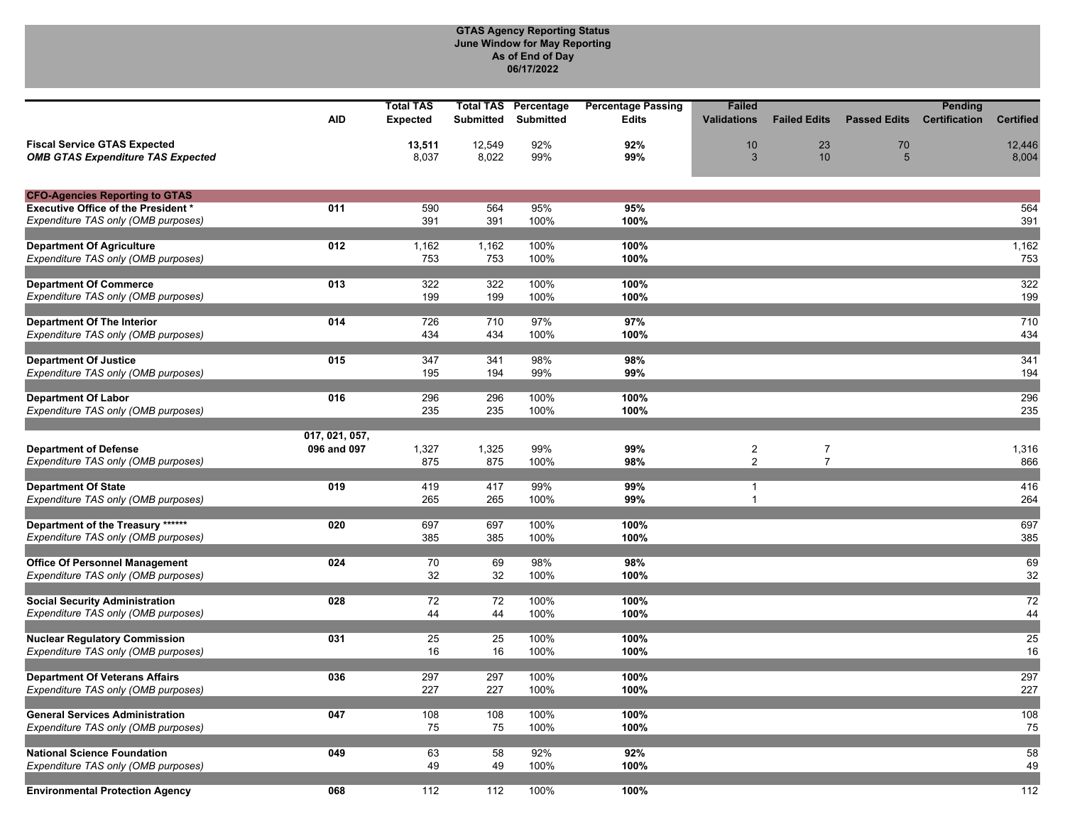## **GTAS Agency Reporting Status June Window for May Reporting As of End of Day 06/17/2022**

|                                                                                   |                | <b>Total TAS</b> | <b>Total TAS</b> | Percentage       | <b>Percentage Passing</b> | <b>Failed</b>      |                     |                     | Pending              |                  |
|-----------------------------------------------------------------------------------|----------------|------------------|------------------|------------------|---------------------------|--------------------|---------------------|---------------------|----------------------|------------------|
|                                                                                   | <b>AID</b>     | <b>Expected</b>  | <b>Submitted</b> | <b>Submitted</b> | <b>Edits</b>              | <b>Validations</b> | <b>Failed Edits</b> | <b>Passed Edits</b> | <b>Certification</b> | <b>Certified</b> |
|                                                                                   |                |                  |                  |                  |                           |                    |                     |                     |                      |                  |
| <b>Fiscal Service GTAS Expected</b><br><b>OMB GTAS Expenditure TAS Expected</b>   |                | 13,511<br>8,037  | 12,549<br>8,022  | 92%<br>99%       | 92%<br>99%                | 10<br>3            | 23<br>10            | 70<br>5             |                      | 12,446<br>8,004  |
|                                                                                   |                |                  |                  |                  |                           |                    |                     |                     |                      |                  |
|                                                                                   |                |                  |                  |                  |                           |                    |                     |                     |                      |                  |
| <b>CFO-Agencies Reporting to GTAS</b>                                             |                |                  |                  |                  |                           |                    |                     |                     |                      |                  |
| <b>Executive Office of the President *</b><br>Expenditure TAS only (OMB purposes) | 011            | 590<br>391       | 564<br>391       | 95%<br>100%      | 95%<br>100%               |                    |                     |                     |                      | 564<br>391       |
|                                                                                   |                |                  |                  |                  |                           |                    |                     |                     |                      |                  |
| <b>Department Of Agriculture</b>                                                  | 012            | 1,162            | 1,162            | 100%             | 100%                      |                    |                     |                     |                      | 1,162            |
| Expenditure TAS only (OMB purposes)                                               |                | 753              | 753              | 100%             | 100%                      |                    |                     |                     |                      | 753              |
|                                                                                   |                |                  |                  |                  |                           |                    |                     |                     |                      |                  |
| <b>Department Of Commerce</b>                                                     | 013            | 322              | 322              | 100%             | 100%                      |                    |                     |                     |                      | 322              |
| Expenditure TAS only (OMB purposes)                                               |                | 199              | 199              | 100%             | 100%                      |                    |                     |                     |                      | 199              |
| <b>Department Of The Interior</b>                                                 | 014            | 726              | 710              | 97%              | 97%                       |                    |                     |                     |                      | 710              |
| Expenditure TAS only (OMB purposes)                                               |                | 434              | 434              | 100%             | 100%                      |                    |                     |                     |                      | 434              |
|                                                                                   |                |                  |                  |                  |                           |                    |                     |                     |                      |                  |
| <b>Department Of Justice</b>                                                      | 015            | 347              | 341              | 98%              | 98%                       |                    |                     |                     |                      | 341              |
| Expenditure TAS only (OMB purposes)                                               |                | 195              | 194              | 99%              | 99%                       |                    |                     |                     |                      | 194              |
|                                                                                   |                |                  |                  |                  |                           |                    |                     |                     |                      |                  |
| <b>Department Of Labor</b><br>Expenditure TAS only (OMB purposes)                 | 016            | 296<br>235       | 296<br>235       | 100%<br>100%     | 100%<br>100%              |                    |                     |                     |                      | 296<br>235       |
|                                                                                   |                |                  |                  |                  |                           |                    |                     |                     |                      |                  |
|                                                                                   | 017, 021, 057, |                  |                  |                  |                           |                    |                     |                     |                      |                  |
| <b>Department of Defense</b>                                                      | 096 and 097    | 1,327            | 1,325            | 99%              | 99%                       | $\boldsymbol{2}$   | $\overline{7}$      |                     |                      | 1,316            |
| Expenditure TAS only (OMB purposes)                                               |                | 875              | 875              | 100%             | 98%                       | $\overline{2}$     | $\overline{7}$      |                     |                      | 866              |
|                                                                                   | 019            |                  |                  |                  |                           |                    |                     |                     |                      |                  |
| <b>Department Of State</b><br>Expenditure TAS only (OMB purposes)                 |                | 419<br>265       | 417<br>265       | 99%<br>100%      | 99%<br>99%                | 1<br>$\mathbf{1}$  |                     |                     |                      | 416<br>264       |
|                                                                                   |                |                  |                  |                  |                           |                    |                     |                     |                      |                  |
| Department of the Treasury ******                                                 | 020            | 697              | 697              | 100%             | 100%                      |                    |                     |                     |                      | 697              |
| Expenditure TAS only (OMB purposes)                                               |                | 385              | 385              | 100%             | 100%                      |                    |                     |                     |                      | 385              |
|                                                                                   |                |                  |                  |                  |                           |                    |                     |                     |                      |                  |
| <b>Office Of Personnel Management</b><br>Expenditure TAS only (OMB purposes)      | 024            | 70<br>32         | 69<br>32         | 98%<br>100%      | 98%<br>100%               |                    |                     |                     |                      | 69<br>32         |
|                                                                                   |                |                  |                  |                  |                           |                    |                     |                     |                      |                  |
| <b>Social Security Administration</b>                                             | 028            | 72               | 72               | 100%             | 100%                      |                    |                     |                     |                      | 72               |
| Expenditure TAS only (OMB purposes)                                               |                | 44               | 44               | 100%             | 100%                      |                    |                     |                     |                      | 44               |
|                                                                                   |                |                  |                  |                  |                           |                    |                     |                     |                      |                  |
| <b>Nuclear Regulatory Commission</b>                                              | 031            | 25               | 25               | 100%             | 100%                      |                    |                     |                     |                      | 25               |
| Expenditure TAS only (OMB purposes)                                               |                | 16               | 16               | 100%             | 100%                      |                    |                     |                     |                      | 16               |
| <b>Department Of Veterans Affairs</b>                                             | 036            | 297              | 297              | 100%             | 100%                      |                    |                     |                     |                      | 297              |
| Expenditure TAS only (OMB purposes)                                               |                | 227              | 227              | 100%             | 100%                      |                    |                     |                     |                      | 227              |
|                                                                                   |                |                  |                  |                  |                           |                    |                     |                     |                      |                  |
| <b>General Services Administration</b>                                            | 047            | 108              | 108              | 100%             | 100%                      |                    |                     |                     |                      | 108              |
| Expenditure TAS only (OMB purposes)                                               |                | 75               | 75               | 100%             | 100%                      |                    |                     |                     |                      | 75               |
| <b>National Science Foundation</b>                                                | 049            | 63               | 58               | 92%              | 92%                       |                    |                     |                     |                      | 58               |
| Expenditure TAS only (OMB purposes)                                               |                | 49               | 49               | 100%             | 100%                      |                    |                     |                     |                      | 49               |
|                                                                                   |                |                  |                  |                  |                           |                    |                     |                     |                      |                  |
| <b>Environmental Protection Agency</b>                                            | 068            | 112              | 112              | 100%             | 100%                      |                    |                     |                     |                      | 112              |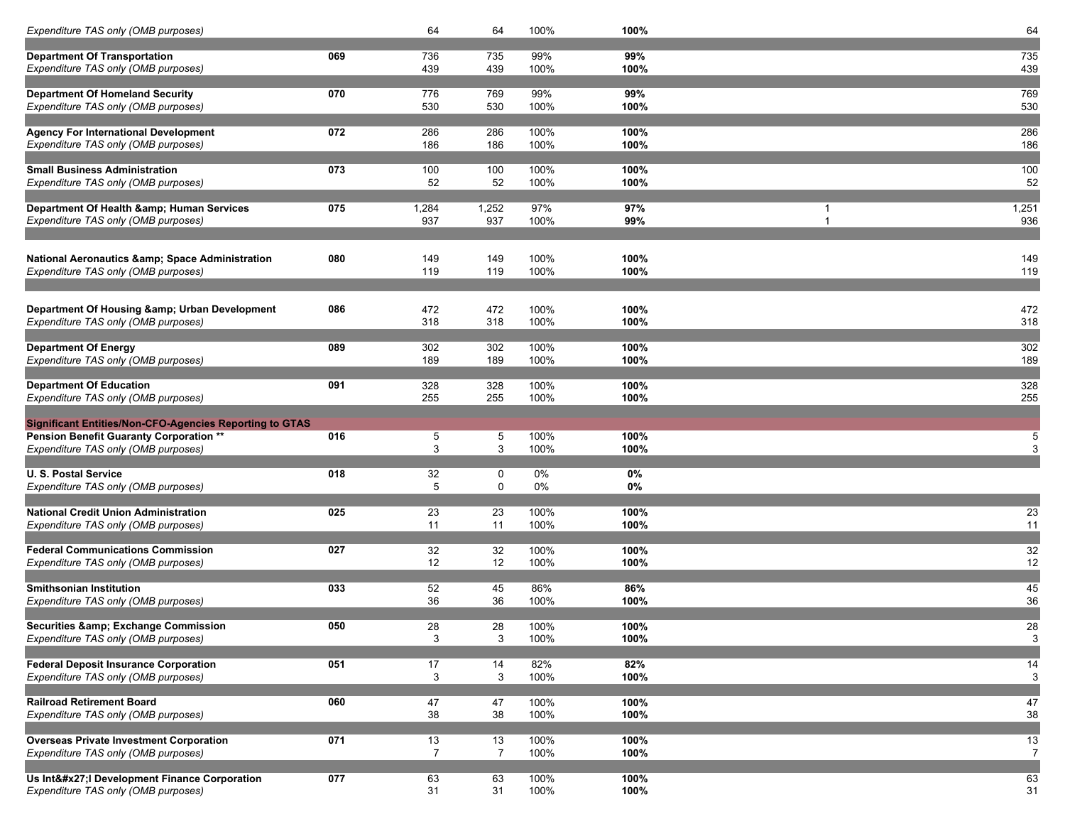| Expenditure TAS only (OMB purposes)                                        |     | 64              | 64                        | 100%        | 100%         | 64                    |
|----------------------------------------------------------------------------|-----|-----------------|---------------------------|-------------|--------------|-----------------------|
|                                                                            |     |                 |                           |             |              |                       |
| <b>Department Of Transportation</b><br>Expenditure TAS only (OMB purposes) | 069 | 736<br>439      | 735<br>439                | 99%<br>100% | 99%<br>100%  | 735<br>439            |
|                                                                            |     |                 |                           |             |              |                       |
| <b>Department Of Homeland Security</b>                                     | 070 | 776             | 769                       | 99%         | 99%          | 769                   |
| Expenditure TAS only (OMB purposes)                                        |     | 530             | 530                       | 100%        | 100%         | 530                   |
|                                                                            |     |                 |                           |             |              |                       |
| <b>Agency For International Development</b>                                | 072 | 286             | 286                       | 100%        | 100%         | 286                   |
| Expenditure TAS only (OMB purposes)                                        |     | 186             | 186                       | 100%        | 100%         | 186                   |
|                                                                            |     |                 |                           |             |              |                       |
| <b>Small Business Administration</b>                                       | 073 | 100             | 100                       | 100%        | 100%         | 100                   |
| Expenditure TAS only (OMB purposes)                                        |     | 52              | 52                        | 100%        | 100%         | 52                    |
|                                                                            |     |                 |                           |             |              |                       |
| Department Of Health & Human Services                                      | 075 | 1,284           | 1,252                     | 97%         | 97%          | 1,251<br>$\mathbf{1}$ |
| Expenditure TAS only (OMB purposes)                                        |     | 937             | 937                       | 100%        | 99%          | 936                   |
|                                                                            |     |                 |                           |             |              |                       |
| National Aeronautics & Space Administration                                | 080 | 149             | 149                       | 100%        | 100%         | 149                   |
| Expenditure TAS only (OMB purposes)                                        |     | 119             | 119                       | 100%        | 100%         | 119                   |
|                                                                            |     |                 |                           |             |              |                       |
|                                                                            |     |                 |                           |             |              |                       |
| Department Of Housing & Urban Development                                  | 086 | 472             | 472                       | 100%        | 100%         | 472                   |
| Expenditure TAS only (OMB purposes)                                        |     | 318             | 318                       | 100%        | 100%         | 318                   |
|                                                                            |     |                 |                           |             |              |                       |
| <b>Department Of Energy</b>                                                | 089 | 302             | 302                       | 100%        | 100%         | 302                   |
| Expenditure TAS only (OMB purposes)                                        |     | 189             | 189                       | 100%        | 100%         | 189                   |
|                                                                            |     |                 |                           |             |              |                       |
| <b>Department Of Education</b>                                             | 091 | 328             | 328                       | 100%        | 100%         | 328                   |
| Expenditure TAS only (OMB purposes)                                        |     | 255             | 255                       | 100%        | 100%         | 255                   |
| <b>Significant Entities/Non-CFO-Agencies Reporting to GTAS</b>             |     |                 |                           |             |              |                       |
| <b>Pension Benefit Guaranty Corporation **</b>                             | 016 | 5               | 5                         | 100%        | 100%         | 5                     |
| Expenditure TAS only (OMB purposes)                                        |     | 3               | $\ensuremath{\mathsf{3}}$ | 100%        | 100%         | 3                     |
|                                                                            |     |                 |                           |             |              |                       |
| <b>U.S. Postal Service</b>                                                 | 018 | 32              | $\mathbf 0$               | 0%          | 0%           |                       |
| Expenditure TAS only (OMB purposes)                                        |     | 5               | $\mathbf 0$               | 0%          | 0%           |                       |
|                                                                            |     |                 |                           |             |              |                       |
| <b>National Credit Union Administration</b>                                | 025 | $\overline{23}$ | 23                        | 100%        | 100%         | 23                    |
| Expenditure TAS only (OMB purposes)                                        |     | 11              | 11                        | 100%        | 100%         | 11                    |
| <b>Federal Communications Commission</b>                                   | 027 | 32              | 32                        | 100%        |              | 32                    |
| Expenditure TAS only (OMB purposes)                                        |     | 12              | 12                        | 100%        | 100%<br>100% | 12                    |
|                                                                            |     |                 |                           |             |              |                       |
| <b>Smithsonian Institution</b>                                             | 033 | 52              | 45                        | 86%         | 86%          | 45                    |
| Expenditure TAS only (OMB purposes)                                        |     | 36              | 36                        | 100%        | 100%         | 36                    |
|                                                                            |     |                 |                           |             |              |                       |
| <b>Securities &amp; Exchange Commission</b>                                | 050 | $\overline{28}$ | 28                        | 100%        | 100%         | 28                    |
| Expenditure TAS only (OMB purposes)                                        |     | 3               | 3                         | 100%        | 100%         | 3                     |
|                                                                            |     |                 |                           |             |              |                       |
| <b>Federal Deposit Insurance Corporation</b>                               | 051 | 17              | 14                        | 82%         | 82%          | 14                    |
| Expenditure TAS only (OMB purposes)                                        |     | 3               | 3                         | 100%        | 100%         | 3                     |
|                                                                            |     |                 |                           |             |              |                       |
| <b>Railroad Retirement Board</b><br>Expenditure TAS only (OMB purposes)    | 060 | 47              | 47                        | 100%        | 100%         | 47                    |
|                                                                            |     | 38              | 38                        | 100%        | 100%         | 38                    |
| <b>Overseas Private Investment Corporation</b>                             | 071 | 13              | 13                        | 100%        | 100%         | 13                    |
| Expenditure TAS only (OMB purposes)                                        |     | 7               | $\overline{7}$            | 100%        | 100%         | 7                     |
|                                                                            |     |                 |                           |             |              |                       |
| Us Int'I Development Finance Corporation                                   | 077 | 63              | 63                        | 100%        | 100%         | 63                    |
| Expenditure TAS only (OMB purposes)                                        |     | 31              | 31                        | 100%        | 100%         | 31                    |